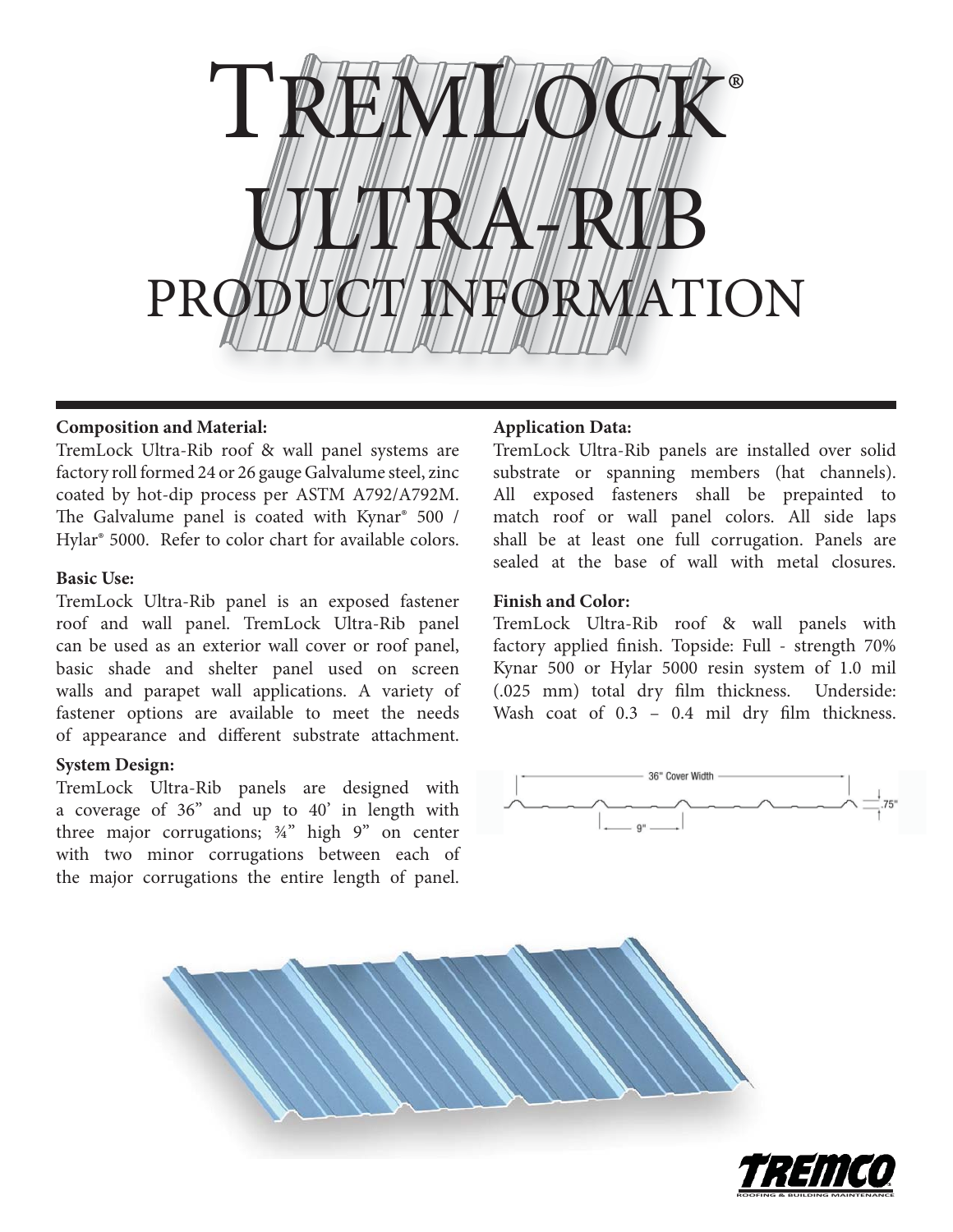

## **Composition and Material:**

TremLock Ultra-Rib roof & wall panel systems are factory roll formed 24 or 26 gauge Galvalume steel, zinc coated by hot-dip process per ASTM A792/A792M. The Galvalume panel is coated with Kynar® 500 / Hylar® 5000. Refer to color chart for available colors.

## **Basic Use:**

TremLock Ultra-Rib panel is an exposed fastener roof and wall panel. TremLock Ultra-Rib panel can be used as an exterior wall cover or roof panel, basic shade and shelter panel used on screen walls and parapet wall applications. A variety of fastener options are available to meet the needs of appearance and different substrate attachment.

# **System Design:**

TremLock Ultra-Rib panels are designed with a coverage of 36" and up to 40' in length with three major corrugations; ¾" high 9" on center with two minor corrugations between each of the major corrugations the entire length of panel.

# **Application Data:**

TremLock Ultra-Rib panels are installed over solid substrate or spanning members (hat channels). All exposed fasteners shall be prepainted to match roof or wall panel colors. All side laps shall be at least one full corrugation. Panels are sealed at the base of wall with metal closures.

# **Finish and Color:**

TremLock Ultra-Rib roof & wall panels with factory applied finish. Topside: Full - strength 70% Kynar 500 or Hylar 5000 resin system of 1.0 mil (.025 mm) total dry film thickness. Underside: Wash coat of  $0.3 - 0.4$  mil dry film thickness.